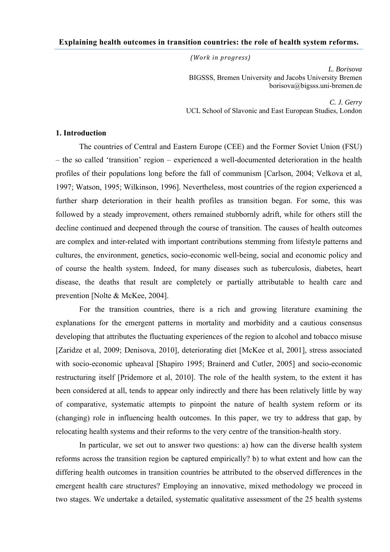## **Explaining health outcomes in transition countries: the role of health system reforms.**

*(Work in progress)*

*L. Borisova*  BIGSSS, Bremen University and Jacobs University Bremen borisova@bigsss.uni-bremen.de

*C. J. Gerry*  UCL School of Slavonic and East European Studies, London

## **1. Introduction**

The countries of Central and Eastern Europe (CEE) and the Former Soviet Union (FSU) – the so called 'transition' region – experienced a well-documented deterioration in the health profiles of their populations long before the fall of communism [Carlson, 2004; Velkova et al, 1997; Watson, 1995; Wilkinson, 1996]. Nevertheless, most countries of the region experienced a further sharp deterioration in their health profiles as transition began. For some, this was followed by a steady improvement, others remained stubbornly adrift, while for others still the decline continued and deepened through the course of transition. The causes of health outcomes are complex and inter-related with important contributions stemming from lifestyle patterns and cultures, the environment, genetics, socio-economic well-being, social and economic policy and of course the health system. Indeed, for many diseases such as tuberculosis, diabetes, heart disease, the deaths that result are completely or partially attributable to health care and prevention [Nolte & McKee, 2004].

For the transition countries, there is a rich and growing literature examining the explanations for the emergent patterns in mortality and morbidity and a cautious consensus developing that attributes the fluctuating experiences of the region to alcohol and tobacco misuse [Zaridze et al, 2009; Denisova, 2010], deteriorating diet [McKee et al, 2001], stress associated with socio-economic upheaval [Shapiro 1995; Brainerd and Cutler, 2005] and socio-economic restructuring itself [Pridemore et al, 2010]. The role of the health system, to the extent it has been considered at all, tends to appear only indirectly and there has been relatively little by way of comparative, systematic attempts to pinpoint the nature of health system reform or its (changing) role in influencing health outcomes. In this paper, we try to address that gap, by relocating health systems and their reforms to the very centre of the transition-health story.

In particular, we set out to answer two questions: a) how can the diverse health system reforms across the transition region be captured empirically? b) to what extent and how can the differing health outcomes in transition countries be attributed to the observed differences in the emergent health care structures? Employing an innovative, mixed methodology we proceed in two stages. We undertake a detailed, systematic qualitative assessment of the 25 health systems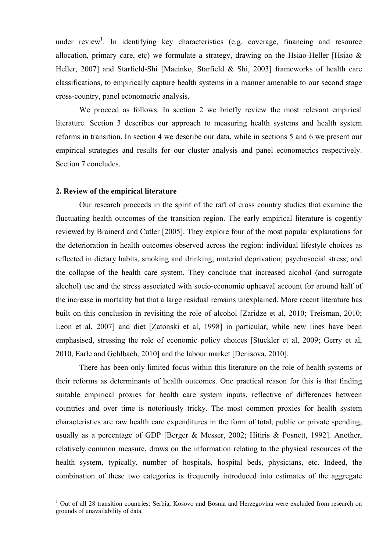under review<sup>1</sup>. In identifying key characteristics (e.g. coverage, financing and resource allocation, primary care, etc) we formulate a strategy, drawing on the Hsiao-Heller [Hsiao  $\&$ Heller, 2007] and Starfield-Shi [Macinko, Starfield & Shi, 2003] frameworks of health care classifications, to empirically capture health systems in a manner amenable to our second stage cross-country, panel econometric analysis.

We proceed as follows. In section 2 we briefly review the most relevant empirical literature. Section 3 describes our approach to measuring health systems and health system reforms in transition. In section 4 we describe our data, while in sections 5 and 6 we present our empirical strategies and results for our cluster analysis and panel econometrics respectively. Section 7 concludes.

### **2. Review of the empirical literature**

Our research proceeds in the spirit of the raft of cross country studies that examine the fluctuating health outcomes of the transition region. The early empirical literature is cogently reviewed by Brainerd and Cutler [2005]. They explore four of the most popular explanations for the deterioration in health outcomes observed across the region: individual lifestyle choices as reflected in dietary habits, smoking and drinking; material deprivation; psychosocial stress; and the collapse of the health care system. They conclude that increased alcohol (and surrogate alcohol) use and the stress associated with socio-economic upheaval account for around half of the increase in mortality but that a large residual remains unexplained. More recent literature has built on this conclusion in revisiting the role of alcohol [Zaridze et al, 2010; Treisman, 2010; Leon et al, 2007] and diet [Zatonski et al, 1998] in particular, while new lines have been emphasised, stressing the role of economic policy choices [Stuckler et al, 2009; Gerry et al, 2010, Earle and Gehlbach, 2010] and the labour market [Denisova, 2010].

There has been only limited focus within this literature on the role of health systems or their reforms as determinants of health outcomes. One practical reason for this is that finding suitable empirical proxies for health care system inputs, reflective of differences between countries and over time is notoriously tricky. The most common proxies for health system characteristics are raw health care expenditures in the form of total, public or private spending, usually as a percentage of GDP [Berger & Messer, 2002; Hitiris & Posnett, 1992]. Another, relatively common measure, draws on the information relating to the physical resources of the health system, typically, number of hospitals, hospital beds, physicians, etc. Indeed, the combination of these two categories is frequently introduced into estimates of the aggregate

<sup>&</sup>lt;sup>1</sup> Out of all 28 transition countries: Serbia, Kosovo and Bosnia and Herzegovina were excluded from research on grounds of unavailability of data.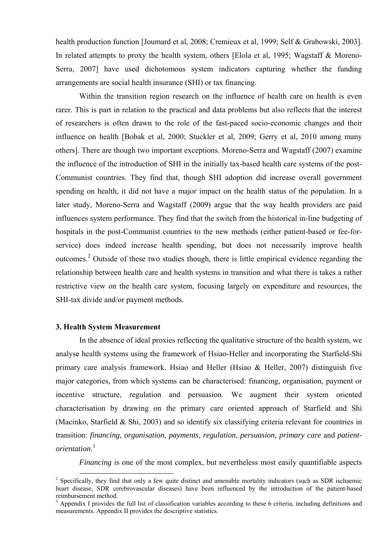health production function [Joumard et al, 2008; Cremieux et al, 1999; Self & Grabowski, 2003]. In related attempts to proxy the health system, others [Elola et al, 1995; Wagstaff & Moreno-Serra, 2007] have used dichotomous system indicators capturing whether the funding arrangements are social health insurance (SHI) or tax financing.

Within the transition region research on the influence of health care on health is even rarer. This is part in relation to the practical and data problems but also reflects that the interest of researchers is often drawn to the role of the fast-paced socio-economic changes and their influence on health [Bobak et al, 2000; Stuckler et al, 2009; Gerry et al, 2010 among many others]. There are though two important exceptions. Moreno-Serra and Wagstaff (2007) examine the influence of the introduction of SHI in the initially tax-based health care systems of the post-Communist countries. They find that, though SHI adoption did increase overall government spending on health, it did not have a major impact on the health status of the population. In a later study, Moreno-Serra and Wagstaff (2009) argue that the way health providers are paid influences system performance. They find that the switch from the historical in-line budgeting of hospitals in the post-Communist countries to the new methods (either patient-based or fee-forservice) does indeed increase health spending, but does not necessarily improve health outcomes.<sup>2</sup> Outside of these two studies though, there is little empirical evidence regarding the relationship between health care and health systems in transition and what there is takes a rather restrictive view on the health care system, focusing largely on expenditure and resources, the SHI-tax divide and/or payment methods.

## **3. Health System Measurement**

In the absence of ideal proxies reflecting the qualitative structure of the health system, we analyse health systems using the framework of Hsiao-Heller and incorporating the Starfield-Shi primary care analysis framework. Hsiao and Heller (Hsiao & Heller, 2007) distinguish five major categories, from which systems can be characterised: financing, organisation, payment or incentive structure, regulation and persuasion. We augment their system oriented characterisation by drawing on the primary care oriented approach of Starfield and Shi (Macinko, Starfield & Shi, 2003) and so identify six classifying criteria relevant for countries in transition: *financing*, *organisation*, *payments*, *regulation*, *persuasion, primary care* and *patientorientation*. 3

*Financing* is one of the most complex, but nevertheless most easily quantifiable aspects

<sup>&</sup>lt;sup>2</sup> Specifically, they find that only a few quite distinct and amenable mortality indicators (such as SDR ischaemic heart disease, SDR cerebrovascular diseases) have been influenced by the introduction of the patient-based reimbursement method.

<sup>&</sup>lt;sup>3</sup> Appendix I provides the full list of classification variables according to these 6 criteria, including definitions and measurements. Appendix II provides the descriptive statistics.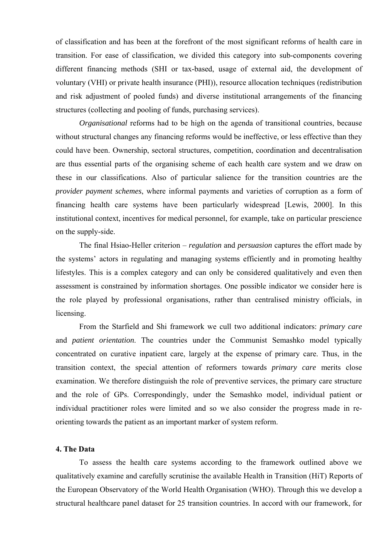of classification and has been at the forefront of the most significant reforms of health care in transition. For ease of classification, we divided this category into sub-components covering different financing methods (SHI or tax-based, usage of external aid, the development of voluntary (VHI) or private health insurance (PHI)), resource allocation techniques (redistribution and risk adjustment of pooled funds) and diverse institutional arrangements of the financing structures (collecting and pooling of funds, purchasing services).

*Organisational* reforms had to be high on the agenda of transitional countries, because without structural changes any financing reforms would be ineffective, or less effective than they could have been. Ownership, sectoral structures, competition, coordination and decentralisation are thus essential parts of the organising scheme of each health care system and we draw on these in our classifications. Also of particular salience for the transition countries are the *provider payment schemes*, where informal payments and varieties of corruption as a form of financing health care systems have been particularly widespread [Lewis, 2000]. In this institutional context, incentives for medical personnel, for example, take on particular prescience on the supply-side.

The final Hsiao-Heller criterion – *regulation* and *persuasion* captures the effort made by the systems' actors in regulating and managing systems efficiently and in promoting healthy lifestyles. This is a complex category and can only be considered qualitatively and even then assessment is constrained by information shortages. One possible indicator we consider here is the role played by professional organisations, rather than centralised ministry officials, in licensing.

From the Starfield and Shi framework we cull two additional indicators: *primary care*  and *patient orientation*. The countries under the Communist Semashko model typically concentrated on curative inpatient care, largely at the expense of primary care. Thus, in the transition context, the special attention of reformers towards *primary care* merits close examination. We therefore distinguish the role of preventive services, the primary care structure and the role of GPs. Correspondingly, under the Semashko model, individual patient or individual practitioner roles were limited and so we also consider the progress made in reorienting towards the patient as an important marker of system reform.

### **4. The Data**

To assess the health care systems according to the framework outlined above we qualitatively examine and carefully scrutinise the available Health in Transition (HiT) Reports of the European Observatory of the World Health Organisation (WHO). Through this we develop a structural healthcare panel dataset for 25 transition countries. In accord with our framework, for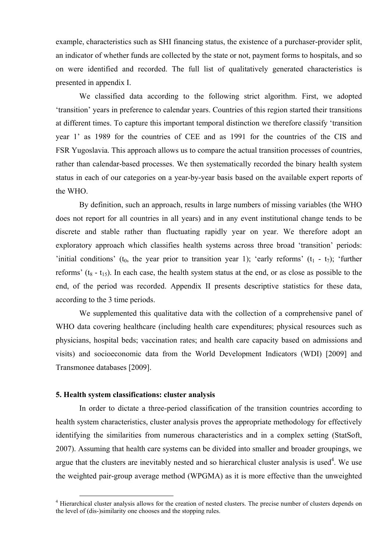example, characteristics such as SHI financing status, the existence of a purchaser-provider split, an indicator of whether funds are collected by the state or not, payment forms to hospitals, and so on were identified and recorded. The full list of qualitatively generated characteristics is presented in appendix I.

We classified data according to the following strict algorithm. First, we adopted 'transition' years in preference to calendar years. Countries of this region started their transitions at different times. To capture this important temporal distinction we therefore classify 'transition year 1' as 1989 for the countries of CEE and as 1991 for the countries of the CIS and FSR Yugoslavia. This approach allows us to compare the actual transition processes of countries, rather than calendar-based processes. We then systematically recorded the binary health system status in each of our categories on a year-by-year basis based on the available expert reports of the WHO.

By definition, such an approach, results in large numbers of missing variables (the WHO does not report for all countries in all years) and in any event institutional change tends to be discrete and stable rather than fluctuating rapidly year on year. We therefore adopt an exploratory approach which classifies health systems across three broad 'transition' periods: 'initial conditions' ( $t_0$ , the year prior to transition year 1); 'early reforms' ( $t_1$  -  $t_7$ ); 'further reforms' ( $t_8 - t_1$ <sub>5</sub>). In each case, the health system status at the end, or as close as possible to the end, of the period was recorded. Appendix II presents descriptive statistics for these data, according to the 3 time periods.

We supplemented this qualitative data with the collection of a comprehensive panel of WHO data covering healthcare (including health care expenditures; physical resources such as physicians, hospital beds; vaccination rates; and health care capacity based on admissions and visits) and socioeconomic data from the World Development Indicators (WDI) [2009] and Transmonee databases [2009].

### **5. Health system classifications: cluster analysis**

In order to dictate a three-period classification of the transition countries according to health system characteristics, cluster analysis proves the appropriate methodology for effectively identifying the similarities from numerous characteristics and in a complex setting (StatSoft, 2007). Assuming that health care systems can be divided into smaller and broader groupings, we argue that the clusters are inevitably nested and so hierarchical cluster analysis is used<sup>4</sup>. We use the weighted pair-group average method (WPGMA) as it is more effective than the unweighted

<sup>&</sup>lt;sup>4</sup> Hierarchical cluster analysis allows for the creation of nested clusters. The precise number of clusters depends on the level of (dis-)similarity one chooses and the stopping rules.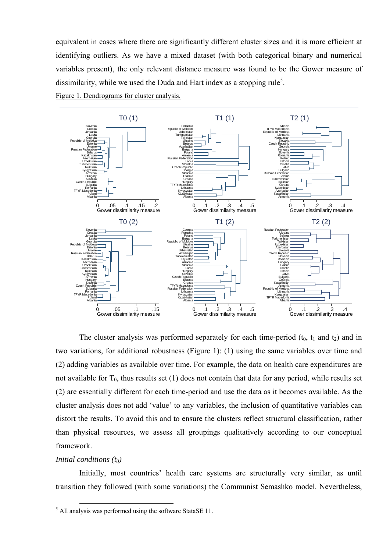equivalent in cases where there are significantly different cluster sizes and it is more efficient at identifying outliers. As we have a mixed dataset (with both categorical binary and numerical variables present), the only relevant distance measure was found to be the Gower measure of dissimilarity, while we used the Duda and Hart index as a stopping rule<sup>5</sup>.

Figure 1. Dendrograms for cluster analysis.



The cluster analysis was performed separately for each time-period  $(t_0, t_1$  and  $t_2)$  and in two variations, for additional robustness (Figure 1): (1) using the same variables over time and (2) adding variables as available over time. For example, the data on health care expenditures are not available for  $T_0$ , thus results set (1) does not contain that data for any period, while results set (2) are essentially different for each time-period and use the data as it becomes available. As the cluster analysis does not add 'value' to any variables, the inclusion of quantitative variables can distort the results. To avoid this and to ensure the clusters reflect structural classification, rather than physical resources, we assess all groupings qualitatively according to our conceptual framework.

## *Initial conditions (t<sub>0</sub>)*

Initially, most countries' health care systems are structurally very similar, as until transition they followed (with some variations) the Communist Semashko model. Nevertheless,

<sup>&</sup>lt;sup>5</sup> All analysis was performed using the software StataSE 11.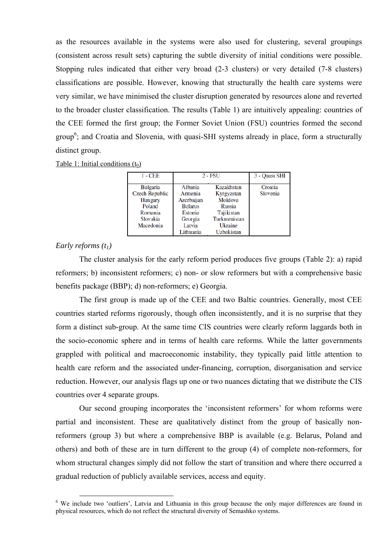as the resources available in the systems were also used for clustering, several groupings (consistent across result sets) capturing the subtle diversity of initial conditions were possible. Stopping rules indicated that either very broad (2-3 clusters) or very detailed (7-8 clusters) classifications are possible. However, knowing that structurally the health care systems were very similar, we have minimised the cluster disruption generated by resources alone and reverted to the broader cluster classification. The results (Table 1) are intuitively appealing: countries of the CEE formed the first group; the Former Soviet Union (FSU) countries formed the second group<sup>6</sup>; and Croatia and Slovenia, with quasi-SHI systems already in place, form a structurally distinct group.

| Table 1: Initial conditions $(t_0)$ |  |  |  |  |
|-------------------------------------|--|--|--|--|
|-------------------------------------|--|--|--|--|

| $1 - CEE$                                                                                         | 2 - FSU                                                                                         | 3 - Quasi SHI                                                                                               |                     |
|---------------------------------------------------------------------------------------------------|-------------------------------------------------------------------------------------------------|-------------------------------------------------------------------------------------------------------------|---------------------|
| <b>Bulgaria</b><br>Czech Republic<br><b>Hungary</b><br>Poland<br>Romania<br>Slovakia<br>Macedonia | Albania<br>Armenia<br>Azerbaijan<br><b>Belarus</b><br>Estonia<br>Georgia<br>Latvia<br>Lithuania | Kazakhstan<br>Kyrgyzstan<br>Moldova<br>Russia<br>Tajikistan<br>Turkmenistan<br>Ukraine<br><b>Uzbekistan</b> | Croatia<br>Slovenia |

## *Early reforms (t1)*

The cluster analysis for the early reform period produces five groups (Table 2): a) rapid reformers; b) inconsistent reformers; c) non- or slow reformers but with a comprehensive basic benefits package (BBP); d) non-reformers; e) Georgia.

The first group is made up of the CEE and two Baltic countries. Generally, most CEE countries started reforms rigorously, though often inconsistently, and it is no surprise that they form a distinct sub-group. At the same time CIS countries were clearly reform laggards both in the socio-economic sphere and in terms of health care reforms. While the latter governments grappled with political and macroeconomic instability, they typically paid little attention to health care reform and the associated under-financing, corruption, disorganisation and service reduction. However, our analysis flags up one or two nuances dictating that we distribute the CIS countries over 4 separate groups.

Our second grouping incorporates the 'inconsistent reformers' for whom reforms were partial and inconsistent. These are qualitatively distinct from the group of basically nonreformers (group 3) but where a comprehensive BBP is available (e.g. Belarus, Poland and others) and both of these are in turn different to the group (4) of complete non-reformers, for whom structural changes simply did not follow the start of transition and where there occurred a gradual reduction of publicly available services, access and equity.

<sup>&</sup>lt;sup>6</sup> We include two 'outliers', Latvia and Lithuania in this group because the only major differences are found in physical resources, which do not reflect the structural diversity of Semashko systems.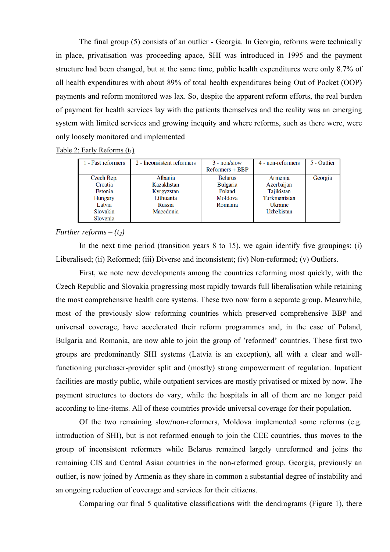The final group (5) consists of an outlier - Georgia. In Georgia, reforms were technically in place, privatisation was proceeding apace, SHI was introduced in 1995 and the payment structure had been changed, but at the same time, public health expenditures were only 8.7% of all health expenditures with about 89% of total health expenditures being Out of Pocket (OOP) payments and reform monitored was lax. So, despite the apparent reform efforts, the real burden of payment for health services lay with the patients themselves and the reality was an emerging system with limited services and growing inequity and where reforms, such as there were, were only loosely monitored and implemented

Table 2: Early Reforms  $(t_1)$ 

| 1 - Fast reformers                                                                   | 2 - Inconsistent reformers                                                     | $3 - non/slow$<br>Reformers + BBP                                 | 4 - non-reformers                                                            | 5 - Outlier |
|--------------------------------------------------------------------------------------|--------------------------------------------------------------------------------|-------------------------------------------------------------------|------------------------------------------------------------------------------|-------------|
| Czech Rep.<br>Croatia<br>Estonia<br><b>Hungary</b><br>Latvia<br>Slovakia<br>Slovenia | Albania<br>Kazakhstan<br>Kyrgyzstan<br>Lithuania<br><b>Russia</b><br>Macedonia | <b>Belarus</b><br><b>Bulgaria</b><br>Poland<br>Moldova<br>Romania | Armenia<br>Azerbaijan<br>Tajikistan<br>Turkmenistan<br>Ukraine<br>Uzbekistan | Georgia     |

## *Further reforms –*  $(t_2)$

In the next time period (transition years 8 to 15), we again identify five groupings: (i) Liberalised; (ii) Reformed; (iii) Diverse and inconsistent; (iv) Non-reformed; (v) Outliers.

First, we note new developments among the countries reforming most quickly, with the Czech Republic and Slovakia progressing most rapidly towards full liberalisation while retaining the most comprehensive health care systems. These two now form a separate group. Meanwhile, most of the previously slow reforming countries which preserved comprehensive BBP and universal coverage, have accelerated their reform programmes and, in the case of Poland, Bulgaria and Romania, are now able to join the group of 'reformed' countries. These first two groups are predominantly SHI systems (Latvia is an exception), all with a clear and wellfunctioning purchaser-provider split and (mostly) strong empowerment of regulation. Inpatient facilities are mostly public, while outpatient services are mostly privatised or mixed by now. The payment structures to doctors do vary, while the hospitals in all of them are no longer paid according to line-items. All of these countries provide universal coverage for their population.

Of the two remaining slow/non-reformers, Moldova implemented some reforms (e.g. introduction of SHI), but is not reformed enough to join the CEE countries, thus moves to the group of inconsistent reformers while Belarus remained largely unreformed and joins the remaining CIS and Central Asian countries in the non-reformed group. Georgia, previously an outlier, is now joined by Armenia as they share in common a substantial degree of instability and an ongoing reduction of coverage and services for their citizens.

Comparing our final 5 qualitative classifications with the dendrograms (Figure 1), there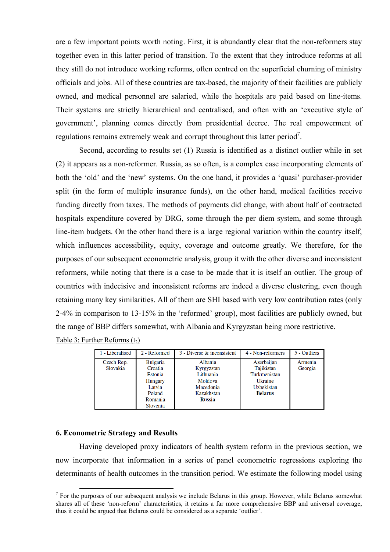are a few important points worth noting. First, it is abundantly clear that the non-reformers stay together even in this latter period of transition. To the extent that they introduce reforms at all they still do not introduce working reforms, often centred on the superficial churning of ministry officials and jobs. All of these countries are tax-based, the majority of their facilities are publicly owned, and medical personnel are salaried, while the hospitals are paid based on line-items. Their systems are strictly hierarchical and centralised, and often with an 'executive style of government', planning comes directly from presidential decree. The real empowerment of regulations remains extremely weak and corrupt throughout this latter period<sup>7</sup>.

Second, according to results set (1) Russia is identified as a distinct outlier while in set (2) it appears as a non-reformer. Russia, as so often, is a complex case incorporating elements of both the 'old' and the 'new' systems. On the one hand, it provides a 'quasi' purchaser-provider split (in the form of multiple insurance funds), on the other hand, medical facilities receive funding directly from taxes. The methods of payments did change, with about half of contracted hospitals expenditure covered by DRG, some through the per diem system, and some through line-item budgets. On the other hand there is a large regional variation within the country itself, which influences accessibility, equity, coverage and outcome greatly. We therefore, for the purposes of our subsequent econometric analysis, group it with the other diverse and inconsistent reformers, while noting that there is a case to be made that it is itself an outlier. The group of countries with indecisive and inconsistent reforms are indeed a diverse clustering, even though retaining many key similarities. All of them are SHI based with very low contribution rates (only 2-4% in comparison to 13-15% in the 'reformed' group), most facilities are publicly owned, but the range of BBP differs somewhat, with Albania and Kyrgyzstan being more restrictive. Table 3: Further Reforms  $(t_2)$ 

| 1 - Liberalised        | 2 - Reformed                                                                                       | $3$ - Diverse $\&$ inconsistent                                                    | 4 - Non-reformers                                                                          | 5 - Outliers       |
|------------------------|----------------------------------------------------------------------------------------------------|------------------------------------------------------------------------------------|--------------------------------------------------------------------------------------------|--------------------|
| Czech Rep.<br>Slovakia | <b>Bulgaria</b><br>Croatia<br>Estonia<br><b>Hungary</b><br>Latvia<br>Poland<br>Romania<br>Slovenia | Albania<br>Kyrgyzstan<br>Lithuania<br>Moldova<br>Macedonia<br>Kazakhstan<br>Russia | Azerbaijan<br>Tajikistan<br>Turkmenistan<br>Ukraine<br><b>Uzbekistan</b><br><b>Belarus</b> | Armenia<br>Georgia |

### **6. Econometric Strategy and Results**

Having developed proxy indicators of health system reform in the previous section, we now incorporate that information in a series of panel econometric regressions exploring the determinants of health outcomes in the transition period. We estimate the following model using

<sup>&</sup>lt;sup>7</sup> For the purposes of our subsequent analysis we include Belarus in this group. However, while Belarus somewhat shares all of these 'non-reform' characteristics, it retains a far more comprehensive BBP and universal coverage, thus it could be argued that Belarus could be considered as a separate 'outlier'.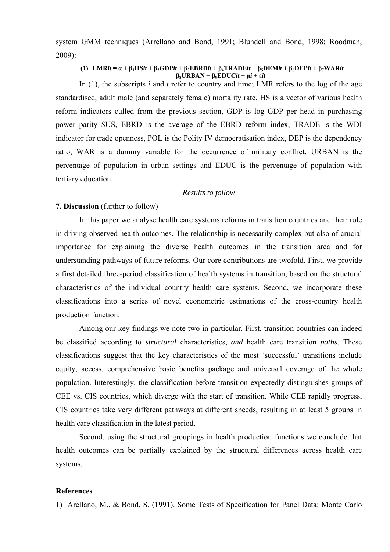system GMM techniques (Arrellano and Bond, 1991; Blundell and Bond, 1998; Roodman, 2009):

### (1) LMRit =  $\alpha$  +  $\beta_1$ HSit +  $\beta_2$ GDPit +  $\beta_3$ EBRDit +  $\beta_4$ TRADEit +  $\beta_5$ DEMit +  $\beta_6$ DEPit +  $\beta_7$ WARit + **β8URBAN + β9EDUC***it* **+ μ***i* **+ ε***it*

In (1), the subscripts *i* and *t* refer to country and time; LMR refers to the log of the age standardised, adult male (and separately female) mortality rate, HS is a vector of various health reform indicators culled from the previous section, GDP is log GDP per head in purchasing power parity \$US, EBRD is the average of the EBRD reform index, TRADE is the WDI indicator for trade openness, POL is the Polity IV democratisation index, DEP is the dependency ratio, WAR is a dummy variable for the occurrence of military conflict, URBAN is the percentage of population in urban settings and EDUC is the percentage of population with tertiary education.

### *Results to follow*

#### **7. Discussion** (further to follow)

In this paper we analyse health care systems reforms in transition countries and their role in driving observed health outcomes. The relationship is necessarily complex but also of crucial importance for explaining the diverse health outcomes in the transition area and for understanding pathways of future reforms. Our core contributions are twofold. First, we provide a first detailed three-period classification of health systems in transition, based on the structural characteristics of the individual country health care systems. Second, we incorporate these classifications into a series of novel econometric estimations of the cross-country health production function.

Among our key findings we note two in particular. First, transition countries can indeed be classified according to *structural* characteristics, *and* health care transition *paths*. These classifications suggest that the key characteristics of the most 'successful' transitions include equity, access, comprehensive basic benefits package and universal coverage of the whole population. Interestingly, the classification before transition expectedly distinguishes groups of CEE vs. CIS countries, which diverge with the start of transition. While CEE rapidly progress, CIS countries take very different pathways at different speeds, resulting in at least 5 groups in health care classification in the latest period.

Second, using the structural groupings in health production functions we conclude that health outcomes can be partially explained by the structural differences across health care systems.

#### **References**

1) Arellano, M., & Bond, S. (1991). Some Tests of Specification for Panel Data: Monte Carlo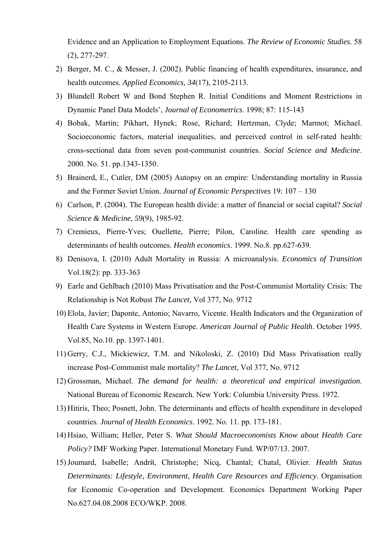Evidence and an Application to Employment Equations. *The Review of Economic Studies.* 58 (2), 277-297.

- 2) Berger, M. C., & Messer, J. (2002). Public financing of health expenditures, insurance, and health outcomes. *Applied Economics, 34*(17), 2105-2113.
- 3) Blundell Robert W and Bond Stephen R. Initial Conditions and Moment Restrictions in Dynamic Panel Data Models', *Journal of Econometrics*. 1998; 87: 115-143
- 4) Bobak, Martin; Pikhart, Hynek; Rose, Richard; Hertzman, Clyde; Marmot; Michael. Socioeconomic factors, material inequalities, and perceived control in self-rated health: cross-sectional data from seven post-communist countries. *Social Science and Medicine*. 2000. No. 51. pp.1343-1350.
- 5) Brainerd, E., Cutler, DM (2005) Autopsy on an empire: Understanding mortality in Russia and the Former Soviet Union. *Journal of Economic Perspectives* 19: 107 – 130
- 6) Carlson, P. (2004). The European health divide: a matter of financial or social capital? *Social Science & Medicine, 59*(9), 1985-92.
- 7) Cremieux, Pierre-Yves; Ouellette, Pierre; Pilon, Caroline. Health care spending as determinants of health outcomes. *Health economics*. 1999. No.8. pp.627-639.
- 8) Denisova, I. (2010) Adult Mortality in Russia: A microanalysis. *Economics of Transition* Vol.18(2): pp. 333-363
- 9) Earle and Gehlbach (2010) Mass Privatisation and the Post-Communist Mortality Crisis: The Relationship is Not Robust *The Lancet,* Vol 377, No. 9712
- 10) Elola, Javier; Daponte, Antonio; Navarro, Vicente. Health Indicators and the Organization of Health Care Systems in Western Europe. *American Journal of Public Health*. October 1995. Vol.85, No.10. pp. 1397-1401.
- 11) Gerry, C.J., Mickiewicz, T.M. and Nikoloski, Z. (2010) Did Mass Privatisation really increase Post-Communist male mortality? *The Lancet,* Vol 377, No. 9712
- 12) Grossman, Michael. *The demand for health: a theoretical and empirical investigation*. National Bureau of Economic Research. New York: Columbia University Press. 1972.
- 13) Hitiris, Theo; Posnett, John. The determinants and effects of health expenditure in developed countries. *Journal of Health Economics*. 1992. No. 11. pp. 173-181.
- 14) Hsiao, William; Heller, Peter S. *What Should Macroeconomists Know about Health Care Policy?* IMF Working Paper. International Monetary Fund. WP/07/13. 2007.
- 15)Joumard, Isabelle; Andrй, Christophe; Nicq, Chantal; Chatal, Olivier. *Health Status Determinants: Lifestyle, Environment, Health Care Resources and Efficiency*. Organisation for Economic Co-operation and Development. Economics Department Working Paper No.627.04.08.2008 ECO/WKP. 2008.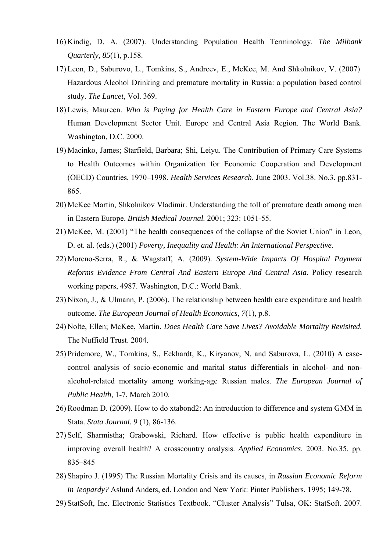- 16) Kindig, D. A. (2007). Understanding Population Health Terminology. *The Milbank Quarterly, 85*(1), p.158.
- 17) Leon, D., Saburovo, L., Tomkins, S., Andreev, E., McKee, M. And Shkolnikov, V. (2007) Hazardous Alcohol Drinking and premature mortality in Russia: a population based control study. *The Lancet*, Vol. 369.
- 18) Lewis, Maureen. *Who is Paying for Health Care in Eastern Europe and Central Asia?*  Human Development Sector Unit. Europe and Central Asia Region. The World Bank. Washington, D.C. 2000.
- 19) Macinko, James; Starfield, Barbara; Shi, Leiyu. The Contribution of Primary Care Systems to Health Outcomes within Organization for Economic Cooperation and Development (OECD) Countries, 1970–1998. *Health Services Research*. June 2003. Vol.38. No.3. pp.831- 865.
- 20) McKee Martin, Shkolnikov Vladimir. Understanding the toll of premature death among men in Eastern Europe. *British Medical Journal.* 2001; 323: 1051-55.
- 21) McKee, M. (2001) "The health consequences of the collapse of the Soviet Union" in Leon, D. et. al. (eds.) (2001) *Poverty, Inequality and Health: An International Perspective.*
- 22) Moreno-Serra, R., & Wagstaff, A. (2009). *System-Wide Impacts Of Hospital Payment Reforms Evidence From Central And Eastern Europe And Central Asia*. Policy research working papers, 4987. Washington, D.C.: World Bank.
- 23) Nixon, J., & Ulmann, P. (2006). The relationship between health care expenditure and health outcome. *The European Journal of Health Economics, 7*(1), p.8.
- 24) Nolte, Ellen; McKee, Martin. *Does Health Care Save Lives? Avoidable Mortality Revisited.* The Nuffield Trust. 2004.
- 25) Pridemore, W., Tomkins, S., Eckhardt, K., Kiryanov, N. and Saburova, L. (2010) A casecontrol analysis of socio-economic and marital status differentials in alcohol- and nonalcohol-related mortality among working-age Russian males. *The European Journal of Public Health*, 1-7, March 2010.
- 26) Roodman D. (2009). How to do xtabond2: An introduction to difference and system GMM in Stata. *Stata Journal.* 9 (1), 86-136.
- 27) Self, Sharmistha; Grabowski, Richard. How effective is public health expenditure in improving overall health? A crosscountry analysis. *Applied Economics*. 2003. No.35. pp. 835–845
- 28) Shapiro J. (1995) The Russian Mortality Crisis and its causes, in *Russian Economic Reform in Jeopardy?* Aslund Anders, ed. London and New York: Pinter Publishers. 1995; 149-78.
- 29) StatSoft, Inc. Electronic Statistics Textbook. "Cluster Analysis" Tulsa, OK: StatSoft. 2007.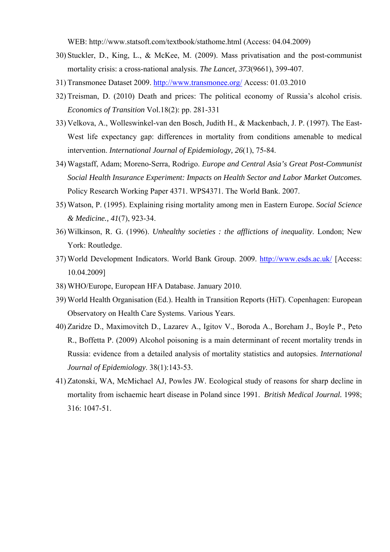WEB: http://www.statsoft.com/textbook/stathome.html (Access: 04.04.2009)

- 30) Stuckler, D., King, L., & McKee, M. (2009). Mass privatisation and the post-communist mortality crisis: a cross-national analysis. *The Lancet, 373*(9661), 399-407.
- 31) Transmonee Dataset 2009. http://www.transmonee.org/ Access: 01.03.2010
- 32) Treisman, D. (2010) Death and prices: The political economy of Russia's alcohol crisis. *Economics of Transition* Vol.18(2): pp. 281-331
- 33) Velkova, A., Wolleswinkel-van den Bosch, Judith H., & Mackenbach, J. P. (1997). The East-West life expectancy gap: differences in mortality from conditions amenable to medical intervention. *International Journal of Epidemiology, 26*(1), 75-84.
- 34) Wagstaff, Adam; Moreno-Serra, Rodrigo. *Europe and Central Asia's Great Post-Communist Social Health Insurance Experiment: Impacts on Health Sector and Labor Market Outcomes.* Policy Research Working Paper 4371. WPS4371. The World Bank. 2007.
- 35) Watson, P. (1995). Explaining rising mortality among men in Eastern Europe. *Social Science & Medicine., 41*(7), 923-34.
- 36) Wilkinson, R. G. (1996). *Unhealthy societies : the afflictions of inequality*. London; New York: Routledge.
- 37) World Development Indicators. World Bank Group. 2009. http://www.esds.ac.uk/ [Access: 10.04.2009]
- 38) WHO/Europe, European HFA Database. January 2010.
- 39) World Health Organisation (Ed.). Health in Transition Reports (HiT). Copenhagen: European Observatory on Health Care Systems. Various Years.
- 40) Zaridze D., Maximovitch D., Lazarev A., Igitov V., Boroda A., Boreham J., Boyle P., Peto R., Boffetta P. (2009) Alcohol poisoning is a main determinant of recent mortality trends in Russia: evidence from a detailed analysis of mortality statistics and autopsies. *International Journal of Epidemiology*. 38(1):143-53.
- 41) Zatonski, WA, McMichael AJ, Powles JW. Ecological study of reasons for sharp decline in mortality from ischaemic heart disease in Poland since 1991. *British Medical Journal.* 1998; 316: 1047-51.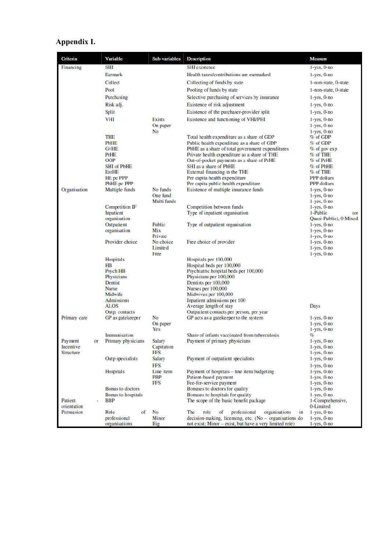# **Appendix I.**

| Criteria                      |    | Variable                                                               | Sub-variables                       | <b>Description</b>                                                                                                                                                                                                     | <b>Measure</b>                                                            |
|-------------------------------|----|------------------------------------------------------------------------|-------------------------------------|------------------------------------------------------------------------------------------------------------------------------------------------------------------------------------------------------------------------|---------------------------------------------------------------------------|
| Financing                     |    | SHI                                                                    |                                     | <b>SHI</b> existence                                                                                                                                                                                                   | $1$ -yes, $0$ -no                                                         |
|                               |    | Earmark                                                                |                                     | Health taxes/contributions are earmarked                                                                                                                                                                               | $1$ -yes, $0$ -no                                                         |
|                               |    | Collect                                                                |                                     | Collecting of funds by state                                                                                                                                                                                           | 1-non-state, 0-state                                                      |
|                               |    | Pool                                                                   |                                     | Pooling of funds by state                                                                                                                                                                                              | 1-non-state, 0-state                                                      |
|                               |    | Purchasing                                                             |                                     | Selective purchasing of services by insurance                                                                                                                                                                          | $1$ -yes, $0$ -no                                                         |
|                               |    | Risk adj.                                                              |                                     | Existence of risk adjustment                                                                                                                                                                                           | $1$ -yes, $0$ -no                                                         |
|                               |    | Split                                                                  |                                     | Existence of the purchaser-provider split                                                                                                                                                                              | $1$ -yes, $0$ -no                                                         |
|                               |    | VHI<br>THE                                                             | <b>Exists</b><br>On paper<br>No     | Existence and functioning of VHI/PHI<br>Total health expenditure as a share of GDP                                                                                                                                     | $1$ -yes, $0$ -no<br>$1$ -yes, $0$ -no<br>$1$ -yes, $0$ -no<br>$%$ of GDP |
|                               |    | <b>PbHE</b><br><b>GvHE</b><br>PrHE<br><b>OOP</b><br><b>SHI</b> of PbHE |                                     | Public health expenditure as a share of GDP<br>PbHE as a share of total government expenditures<br>Private health expenditure as a share of THE<br>Out-of-pocket payments as a share of PrHE<br>SHI as a share of PbHE | $%$ of GDP<br>$%$ of gov $exp$<br>% of THE<br>% of PrHE<br>% of PbHE      |
|                               |    | ExtHE<br>HE pc PPP                                                     |                                     | External financing in the THE<br>Per capita health expenditure                                                                                                                                                         | $%$ of THE<br>PPP dollars                                                 |
|                               |    | PbHE pc PPP                                                            |                                     | Per capita public health expenditure                                                                                                                                                                                   | <b>PPP</b> dollars                                                        |
| Organisation                  |    | Multiple funds                                                         | No funds<br>One fund<br>Multi funds | Existence of multiple insurance funds                                                                                                                                                                                  | $1$ -yes, $0$ -no<br>$1$ -yes, $0$ -no<br>$1$ -yes, $0$ -no               |
|                               |    | Competition IF                                                         |                                     | Competition between funds                                                                                                                                                                                              | $1$ -yes, $0$ -no                                                         |
|                               |    | <b>Inpatient</b><br>organisation                                       |                                     | Type of inpatient organisation                                                                                                                                                                                         | 1-Public<br>(or<br>Quasi-Public), 0-Mixed                                 |
|                               |    | Outpatient                                                             | Public<br>Mix                       | Type of outpatient organisation                                                                                                                                                                                        | $1$ -yes, $0$ -no                                                         |
|                               |    | organisation                                                           | Private                             |                                                                                                                                                                                                                        | $1$ -yes, $0$ -no<br>$1$ -yes, $0$ -no                                    |
|                               |    | Provider choice                                                        | No choice<br>Limited<br>Free        | Free choice of provider                                                                                                                                                                                                | $1$ -yes, $0$ -no<br>$1$ -yes, $0$ -no<br>$1$ -yes, $0$ -no               |
|                               |    | <b>Hospitals</b>                                                       |                                     | Hospitals per 100,000                                                                                                                                                                                                  |                                                                           |
|                               |    | HB<br>Psych HB<br>Physicians<br>Dentist                                |                                     | Hospital beds per 100,000<br>Psychiatric hospital beds per 100,000<br>Physicians per 100,000                                                                                                                           |                                                                           |
|                               |    | Nurse<br>Midwife                                                       |                                     | Dentists per 100,000<br>Nurses per 100,000<br>Midwives per 100,000                                                                                                                                                     |                                                                           |
|                               |    | Admissions                                                             |                                     | Inpatient admissions per 100                                                                                                                                                                                           |                                                                           |
|                               |    | ALOS                                                                   |                                     | Average length of stay                                                                                                                                                                                                 | Days                                                                      |
|                               |    | Outp. contacts                                                         |                                     | Outpatient contacts per person, per year                                                                                                                                                                               |                                                                           |
| Primary care                  |    | GP as gatekeeper                                                       | No<br>On paper<br>Yes               | GP acts as a gatekeeper to the system                                                                                                                                                                                  | $1$ -yes, $0$ -no<br>$1$ -yes, $0$ -no<br>$1$ -yes, $0$ -no               |
|                               |    | Immunisation                                                           |                                     | Share of infants vaccinated from tuberculosis                                                                                                                                                                          | %                                                                         |
| Payment                       | or | Primary physicians                                                     | Salary                              | Payment of primary physicians                                                                                                                                                                                          | $1$ -yes, $0$ -no                                                         |
| Incentive<br><b>Structure</b> |    |                                                                        | Capitation<br>FFS                   |                                                                                                                                                                                                                        | $1$ -yes, $0$ -no<br>$1$ -yes, $0$ -no                                    |
|                               |    | Outp specialists                                                       | Salary<br>FFS                       | Payment of outpatient specialists                                                                                                                                                                                      | $1$ -yes, $0$ -no<br>$1$ -yes, $0$ -no                                    |
|                               |    | Hospitals                                                              | Line item<br>PBP<br>FFS             | Payment of hospitals – line item budgeting<br>Patient-based payment<br>Fee-for-service payment                                                                                                                         | $1$ -yes, $0$ -no<br>$1$ -yes, $0$ -no<br>$1$ -yes, $0$ -no               |
|                               |    | Bonus to doctors                                                       |                                     | Bonuses to doctors for quality                                                                                                                                                                                         | $1$ -yes, $0$ -no                                                         |
| Patient<br>orientation        |    | Bonus to hospitals<br><b>BBP</b>                                       |                                     | Bonuses to hospitals for quality<br>The scope of the basic benefit package                                                                                                                                             | $1$ -yes, $0$ -no<br>1-Comprehensive,<br>0-Limited                        |
| Persuasion                    |    | Role<br>of                                                             | No                                  | The<br>role<br>professional<br>organisations<br>of<br>in                                                                                                                                                               | $1$ -yes, $0$ -no                                                         |
|                               |    | professional<br>organisations                                          | Minor<br>Big                        | $decision$ -making, licensing, etc. (No – organisations do<br>not exist; Minor – exist, but have a very limited role)                                                                                                  | $1$ -yes, $0$ -no<br>$1$ -yes, $0$ -no                                    |